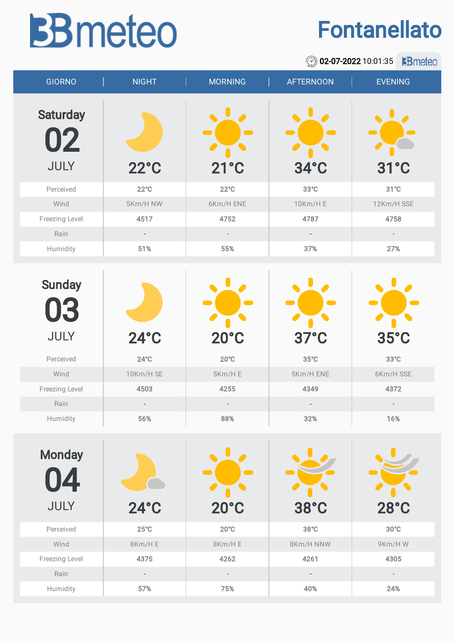## **BB** meteo

## Fontanellato

|                                   |                          | 02-07-2022 10:01:35<br><b>B</b> meteo<br>$\circledcirc$ |                  |                          |  |  |
|-----------------------------------|--------------------------|---------------------------------------------------------|------------------|--------------------------|--|--|
| <b>GIORNO</b>                     | <b>NIGHT</b>             | <b>MORNING</b>                                          | <b>AFTERNOON</b> | <b>EVENING</b>           |  |  |
| <b>Saturday</b><br>02             |                          |                                                         | $34^{\circ}$ C   |                          |  |  |
| JULY                              | $22^{\circ}$ C           | $21^{\circ}$ C                                          | $31^{\circ}$ C   |                          |  |  |
| Perceived                         | $22^{\circ}$ C           | $22^{\circ}C$                                           | $33^{\circ}$ C   | $31^{\circ}$ C           |  |  |
| Wind                              | 5Km/H NW                 | 6Km/H ENE                                               | 10Km/H E         | 12Km/H SSE               |  |  |
| Freezing Level                    | 4517                     | 4752                                                    | 4787             | 4758                     |  |  |
| Rain                              | $\sim$                   | $\frac{1}{2}$                                           | $\overline{a}$   | ä,                       |  |  |
| Humidity                          | 51%                      | 55%                                                     | 37%              | 27%                      |  |  |
|                                   |                          |                                                         |                  |                          |  |  |
| <b>Sunday</b><br><b>U3</b>        |                          |                                                         |                  |                          |  |  |
| <b>JULY</b>                       | $24^\circ C$             | $20^{\circ}$ C                                          | $37^{\circ}$ C   | $35^{\circ}$ C           |  |  |
| Perceived                         | $24^{\circ}$ C           | $20^{\circ}$ C                                          | $35^{\circ}$ C   | $33^{\circ}$ C           |  |  |
| Wind                              | 10Km/H SE                | 5Km/HE                                                  | 5Km/H ENE        | 6Km/H SSE                |  |  |
| Freezing Level                    | 4503                     | 4255                                                    | 4349             | 4372                     |  |  |
| Rain                              |                          |                                                         |                  |                          |  |  |
| Humidity                          | 56%                      | 88%                                                     | 32%              | 16%                      |  |  |
| <b>Monday</b><br>4<br><b>JULY</b> | $24^\circ C$             | $20^{\circ}$ C                                          | 38°C             | $28^\circ C$             |  |  |
| Perceived                         | $25^{\circ}$ C           | $20^{\circ}$ C                                          | $38^{\circ}$ C   | $30^{\circ}$ C           |  |  |
| Wind                              | 8Km/HE                   | 8Km/HE                                                  | 8Km/H NNW        | 9Km/HW                   |  |  |
| Freezing Level                    | 4375                     | 4262                                                    | 4261             | 4305                     |  |  |
| Rain                              | $\overline{\phantom{a}}$ | $\frac{1}{2}$                                           |                  | $\overline{\phantom{a}}$ |  |  |
| Humidity                          | 57%                      | 75%                                                     | 40%              | 24%                      |  |  |